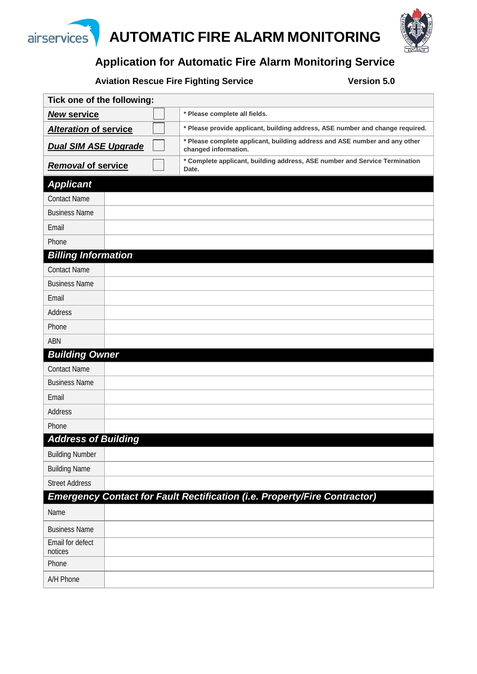

### **Application for Automatic Fire Alarm Monitoring Service**

Aviation Rescue Fire Fighting Service **Version 5.0** 

| Tick one of the following:   |  |  |                                                                                                    |  |  |
|------------------------------|--|--|----------------------------------------------------------------------------------------------------|--|--|
| <b>New service</b>           |  |  | * Please complete all fields.                                                                      |  |  |
| <b>Alteration of service</b> |  |  | * Please provide applicant, building address, ASE number and change required.                      |  |  |
| <b>Dual SIM ASE Upgrade</b>  |  |  | * Please complete applicant, building address and ASE number and any other<br>changed information. |  |  |
| <b>Removal of service</b>    |  |  | * Complete applicant, building address, ASE number and Service Termination<br>Date.                |  |  |
| <b>Applicant</b>             |  |  |                                                                                                    |  |  |
| <b>Contact Name</b>          |  |  |                                                                                                    |  |  |
| <b>Business Name</b>         |  |  |                                                                                                    |  |  |
| Email                        |  |  |                                                                                                    |  |  |
| Phone                        |  |  |                                                                                                    |  |  |
| <b>Billing Information</b>   |  |  |                                                                                                    |  |  |
| <b>Contact Name</b>          |  |  |                                                                                                    |  |  |
| <b>Business Name</b>         |  |  |                                                                                                    |  |  |
| Email                        |  |  |                                                                                                    |  |  |
| Address                      |  |  |                                                                                                    |  |  |
| Phone                        |  |  |                                                                                                    |  |  |
| ABN                          |  |  |                                                                                                    |  |  |
| <b>Building Owner</b>        |  |  |                                                                                                    |  |  |
| <b>Contact Name</b>          |  |  |                                                                                                    |  |  |
| <b>Business Name</b>         |  |  |                                                                                                    |  |  |
| Email                        |  |  |                                                                                                    |  |  |
| Address                      |  |  |                                                                                                    |  |  |
| Phone                        |  |  |                                                                                                    |  |  |
| <b>Address of Building</b>   |  |  |                                                                                                    |  |  |
| <b>Building Number</b>       |  |  |                                                                                                    |  |  |
| <b>Building Name</b>         |  |  |                                                                                                    |  |  |
| <b>Street Address</b>        |  |  |                                                                                                    |  |  |
|                              |  |  | <b>Emergency Contact for Fault Rectification (i.e. Property/Fire Contractor)</b>                   |  |  |
| Name                         |  |  |                                                                                                    |  |  |
| <b>Business Name</b>         |  |  |                                                                                                    |  |  |
| Email for defect<br>notices  |  |  |                                                                                                    |  |  |
| Phone                        |  |  |                                                                                                    |  |  |
| A/H Phone                    |  |  |                                                                                                    |  |  |

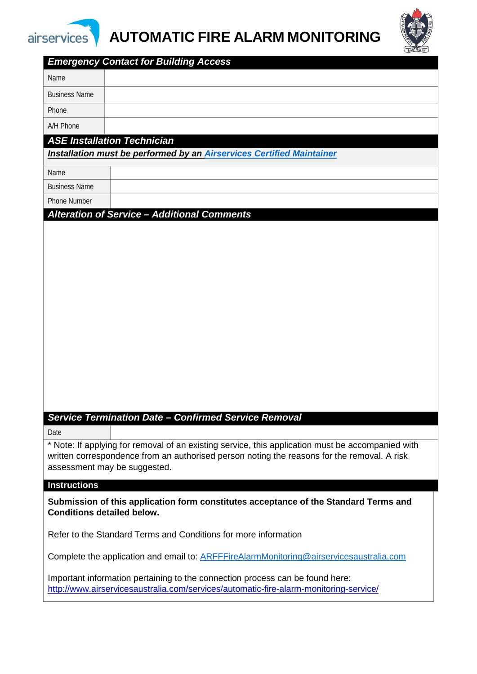

# **AUTOMATIC FIRE ALARM MONITORING**



| <b>Emergency Contact for Building Access</b>                                                      |  |  |  |  |  |
|---------------------------------------------------------------------------------------------------|--|--|--|--|--|
| Name                                                                                              |  |  |  |  |  |
| <b>Business Name</b>                                                                              |  |  |  |  |  |
| Phone                                                                                             |  |  |  |  |  |
| A/H Phone                                                                                         |  |  |  |  |  |
| <b>ASE Installation Technician</b>                                                                |  |  |  |  |  |
| Installation must be performed by an Airservices Certified Maintainer                             |  |  |  |  |  |
| Name                                                                                              |  |  |  |  |  |
| <b>Business Name</b>                                                                              |  |  |  |  |  |
| <b>Phone Number</b>                                                                               |  |  |  |  |  |
| <b>Alteration of Service - Additional Comments</b>                                                |  |  |  |  |  |
|                                                                                                   |  |  |  |  |  |
|                                                                                                   |  |  |  |  |  |
|                                                                                                   |  |  |  |  |  |
|                                                                                                   |  |  |  |  |  |
|                                                                                                   |  |  |  |  |  |
|                                                                                                   |  |  |  |  |  |
|                                                                                                   |  |  |  |  |  |
|                                                                                                   |  |  |  |  |  |
|                                                                                                   |  |  |  |  |  |
|                                                                                                   |  |  |  |  |  |
|                                                                                                   |  |  |  |  |  |
|                                                                                                   |  |  |  |  |  |
|                                                                                                   |  |  |  |  |  |
| <b>Service Termination Date - Confirmed Service Removal</b>                                       |  |  |  |  |  |
| Date                                                                                              |  |  |  |  |  |
| * Note: If applying for removal of an existing service, this application must be accompanied with |  |  |  |  |  |
| written correspondence from an authorised person noting the reasons for the removal. A risk       |  |  |  |  |  |
| assessment may be suggested.                                                                      |  |  |  |  |  |
| <b>Instructions</b>                                                                               |  |  |  |  |  |
| Submission of this application form constitutes acceptance of the Standard Terms and              |  |  |  |  |  |
| <b>Conditions detailed below.</b>                                                                 |  |  |  |  |  |
|                                                                                                   |  |  |  |  |  |
| Refer to the Standard Terms and Conditions for more information                                   |  |  |  |  |  |
| Complete the application and email to: ARFFFireAlarmMonitoring@airservicesaustralia.com           |  |  |  |  |  |
| Important information pertaining to the connection process can be found here:                     |  |  |  |  |  |
| http://www.airservicesaustralia.com/services/automatic-fire-alarm-monitoring-service/             |  |  |  |  |  |
|                                                                                                   |  |  |  |  |  |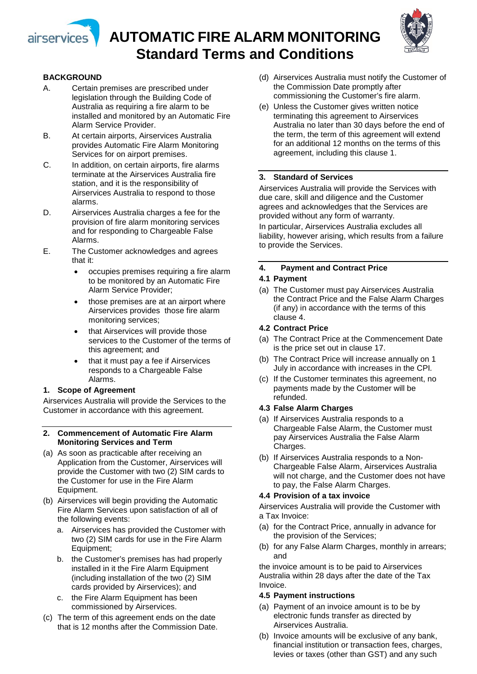

## **AUTOMATIC FIRE ALARM MONITORING Standard Terms and Conditions**



#### **BACKGROUND**

- A. Certain premises are prescribed under legislation through the Building Code of Australia as requiring a fire alarm to be installed and monitored by an Automatic Fire Alarm Service Provider.
- B. At certain airports, Airservices Australia provides Automatic Fire Alarm Monitoring Services for on airport premises.
- C. In addition, on certain airports, fire alarms terminate at the Airservices Australia fire station, and it is the responsibility of Airservices Australia to respond to those alarms.
- D. Airservices Australia charges a fee for the provision of fire alarm monitoring services and for responding to Chargeable False Alarms.
- E. The Customer acknowledges and agrees that it:
	- occupies premises requiring a fire alarm to be monitored by an Automatic Fire Alarm Service Provider;
	- those premises are at an airport where Airservices provides those fire alarm monitoring services;
	- that Airservices will provide those services to the Customer of the terms of this agreement; and
	- that it must pay a fee if Airservices responds to a Chargeable False Alarms.

#### **1. Scope of Agreement**

Airservices Australia will provide the Services to the Customer in accordance with this agreement.

- **2. Commencement of Automatic Fire Alarm Monitoring Services and Term**
- (a) As soon as practicable after receiving an Application from the Customer, Airservices will provide the Customer with two (2) SIM cards to the Customer for use in the Fire Alarm Equipment.
- (b) Airservices will begin providing the Automatic Fire Alarm Services upon satisfaction of all of the following events:
	- a. Airservices has provided the Customer with two (2) SIM cards for use in the Fire Alarm Equipment;
	- b. the Customer's premises has had properly installed in it the Fire Alarm Equipment (including installation of the two (2) SIM cards provided by Airservices); and
	- c. the Fire Alarm Equipment has been commissioned by Airservices.
- (c) The term of this agreement ends on the date that is 12 months after the Commission Date.
- (d) Airservices Australia must notify the Customer of the Commission Date promptly after commissioning the Customer's fire alarm.
- (e) Unless the Customer gives written notice terminating this agreement to Airservices Australia no later than 30 days before the end of the term, the term of this agreement will extend for an additional 12 months on the terms of this agreement, including this clause 1.

#### **3. Standard of Services**

Airservices Australia will provide the Services with due care, skill and diligence and the Customer agrees and acknowledges that the Services are provided without any form of warranty.

In particular, Airservices Australia excludes all liability, however arising, which results from a failure to provide the Services.

#### **4. Payment and Contract Price**

#### **4.1 Payment**

(a) The Customer must pay Airservices Australia the Contract Price and the False Alarm Charges (if any) in accordance with the terms of this clause 4.

#### **4.2 Contract Price**

- (a) The Contract Price at the Commencement Date is the price set out in clause 17.
- (b) The Contract Price will increase annually on 1 July in accordance with increases in the CPI*.*
- (c) If the Customer terminates this agreement, no payments made by the Customer will be refunded.

#### **4.3 False Alarm Charges**

- (a) If Airservices Australia responds to a Chargeable False Alarm, the Customer must pay Airservices Australia the False Alarm Charges.
- (b) If Airservices Australia responds to a Non-Chargeable False Alarm, Airservices Australia will not charge, and the Customer does not have to pay, the False Alarm Charges.

#### **4.4 Provision of a tax invoice**

Airservices Australia will provide the Customer with a Tax Invoice:

- (a) for the Contract Price, annually in advance for the provision of the Services;
- (b) for any False Alarm Charges, monthly in arrears; and

the invoice amount is to be paid to Airservices Australia within 28 days after the date of the Tax Invoice.

#### **4.5 Payment instructions**

- (a) Payment of an invoice amount is to be by electronic funds transfer as directed by Airservices Australia.
- (b) Invoice amounts will be exclusive of any bank, financial institution or transaction fees, charges, levies or taxes (other than GST) and any such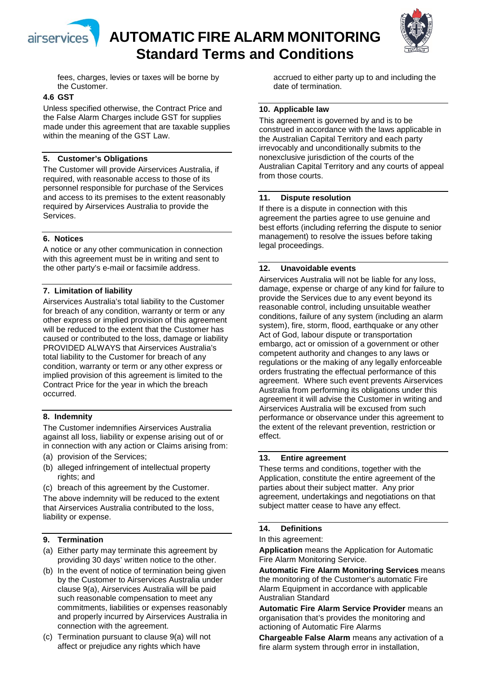





fees, charges, levies or taxes will be borne by the Customer.

#### **4.6 GST**

Unless specified otherwise, the Contract Price and the False Alarm Charges include GST for supplies made under this agreement that are taxable supplies within the meaning of the GST Law.

#### **5. Customer's Obligations**

The Customer will provide Airservices Australia, if required, with reasonable access to those of its personnel responsible for purchase of the Services and access to its premises to the extent reasonably required by Airservices Australia to provide the Services.

#### **6. Notices**

A notice or any other communication in connection with this agreement must be in writing and sent to the other party's e-mail or facsimile address.

#### **7. Limitation of liability**

Airservices Australia's total liability to the Customer for breach of any condition, warranty or term or any other express or implied provision of this agreement will be reduced to the extent that the Customer has caused or contributed to the loss, damage or liability PROVIDED ALWAYS that Airservices Australia's total liability to the Customer for breach of any condition, warranty or term or any other express or implied provision of this agreement is limited to the Contract Price for the year in which the breach occurred.

#### **8. Indemnity**

The Customer indemnifies Airservices Australia against all loss, liability or expense arising out of or in connection with any action or Claims arising from:

- (a) provision of the Services;
- (b) alleged infringement of intellectual property rights; and
- (c) breach of this agreement by the Customer.

The above indemnity will be reduced to the extent that Airservices Australia contributed to the loss, liability or expense.

#### **9. Termination**

- (a) Either party may terminate this agreement by providing 30 days' written notice to the other.
- (b) In the event of notice of termination being given by the Customer to Airservices Australia under clause 9(a), Airservices Australia will be paid such reasonable compensation to meet any commitments, liabilities or expenses reasonably and properly incurred by Airservices Australia in connection with the agreement.
- (c) Termination pursuant to clause 9(a) will not affect or prejudice any rights which have

accrued to either party up to and including the date of termination.

#### **10. Applicable law**

This agreement is governed by and is to be construed in accordance with the laws applicable in the Australian Capital Territory and each party irrevocably and unconditionally submits to the nonexclusive jurisdiction of the courts of the Australian Capital Territory and any courts of appeal from those courts.

#### **11. Dispute resolution**

If there is a dispute in connection with this agreement the parties agree to use genuine and best efforts (including referring the dispute to senior management) to resolve the issues before taking legal proceedings.

#### **12. Unavoidable events**

Airservices Australia will not be liable for any loss, damage, expense or charge of any kind for failure to provide the Services due to any event beyond its reasonable control, including unsuitable weather conditions, failure of any system (including an alarm system), fire, storm, flood, earthquake or any other Act of God, labour dispute or transportation embargo, act or omission of a government or other competent authority and changes to any laws or regulations or the making of any legally enforceable orders frustrating the effectual performance of this agreement. Where such event prevents Airservices Australia from performing its obligations under this agreement it will advise the Customer in writing and Airservices Australia will be excused from such performance or observance under this agreement to the extent of the relevant prevention, restriction or effect.

#### **13. Entire agreement**

These terms and conditions, together with the Application, constitute the entire agreement of the parties about their subject matter. Any prior agreement, undertakings and negotiations on that subject matter cease to have any effect.

#### **14. Definitions**

In this agreement:

**Application** means the Application for Automatic Fire Alarm Monitoring Service.

**Automatic Fire Alarm Monitoring Services** means the monitoring of the Customer's automatic Fire Alarm Equipment in accordance with applicable Australian Standard

**Automatic Fire Alarm Service Provider** means an organisation that's provides the monitoring and actioning of Automatic Fire Alarms

**Chargeable False Alarm** means any activation of a fire alarm system through error in installation,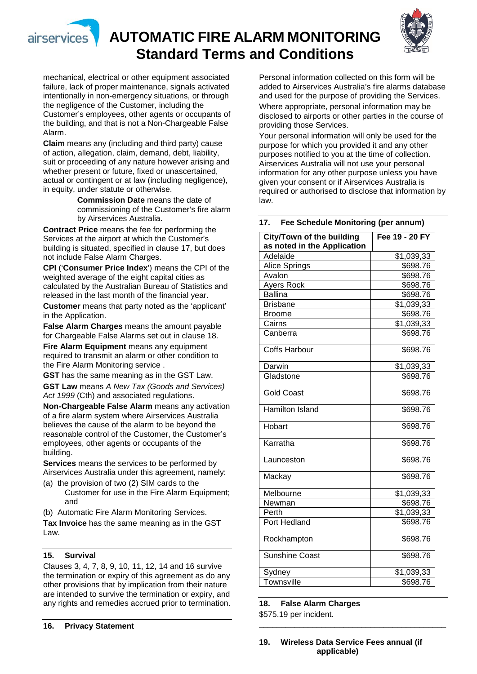



**Standard Terms and Conditions** Personal information collected on this form will be added to Airservices Australia's fire alarms database and used for the purpose of providing the Services.

Where appropriate, personal information may be disclosed to airports or other parties in the course of providing those Services.

Your personal information will only be used for the purpose for which you provided it and any other purposes notified to you at the time of collection. Airservices Australia will not use your personal information for any other purpose unless you have given your consent or if Airservices Australia is required or authorised to disclose that information by law.

**17. Fee Schedule Monitoring (per annum)**

| City/Town of the building<br>as noted in the Application | Fee 19 - 20 FY |
|----------------------------------------------------------|----------------|
| Adelaide                                                 | \$1,039,33     |
| Alice Springs                                            | \$698.76       |
| Avalon                                                   | \$698.76       |
| <b>Ayers Rock</b>                                        | \$698.76       |
| <b>Ballina</b>                                           | \$698.76       |
| <b>Brisbane</b>                                          | \$1,039,33     |
| <b>Broome</b>                                            | \$698.76       |
| Cairns                                                   | \$1,039,33     |
| Canberra                                                 | \$698.76       |
| <b>Coffs Harbour</b>                                     | \$698.76       |
| Darwin                                                   | \$1,039,33     |
| Gladstone                                                | \$698.76       |
| <b>Gold Coast</b>                                        | \$698.76       |
| Hamilton Island                                          | \$698.76       |
| Hobart                                                   | \$698.76       |
| Karratha                                                 | \$698.76       |
| Launceston                                               | \$698.76       |
| Mackay                                                   | \$698.76       |
| Melbourne                                                | \$1,039,33     |
| Newman                                                   | \$698.76       |
| Perth                                                    | \$1,039,33     |
| Port Hedland                                             | \$698.76       |
| Rockhampton                                              | \$698.76       |
| <b>Sunshine Coast</b>                                    | \$698.76       |
| Sydney                                                   | \$1,039,33     |
| Townsville                                               | \$698.76       |

**18. False Alarm Charges** \$575.19 per incident.

mechanical, electrical or other equipment associated failure, lack of proper maintenance, signals activated intentionally in non-emergency situations, or through the negligence of the Customer, including the Customer's employees, other agents or occupants of the building, and that is not a Non-Chargeable False Alarm.

**Claim** means any (including and third party) cause of action, allegation, claim, demand, debt, liability, suit or proceeding of any nature however arising and whether present or future, fixed or unascertained, actual or contingent or at law (including negligence), in equity, under statute or otherwise.

> **Commission Date** means the date of commissioning of the Customer's fire alarm by Airservices Australia.

**Contract Price** means the fee for performing the Services at the airport at which the Customer's building is situated, specified in clause 17, but does not include False Alarm Charges.

**CPI** ('**Consumer Price Index**') means the CPI of the weighted average of the eight capital cities as calculated by the Australian Bureau of Statistics and released in the last month of the financial year.

**Customer** means that party noted as the 'applicant' in the Application.

**False Alarm Charges** means the amount payable for Chargeable False Alarms set out in clause 18.

**Fire Alarm Equipment** means any equipment required to transmit an alarm or other condition to the Fire Alarm Monitoring service .

**GST** has the same meaning as in the GST Law. **GST Law** means *A New Tax (Goods and Services)*  Act 1999 (Cth) and associated regulations.

**Non-Chargeable False Alarm** means any activation of a fire alarm system where Airservices Australia believes the cause of the alarm to be beyond the reasonable control of the Customer, the Customer's employees, other agents or occupants of the building.

**Services** means the services to be performed by Airservices Australia under this agreement, namely:

- (a) the provision of two (2) SIM cards to the Customer for use in the Fire Alarm Equipment; and
- (b) Automatic Fire Alarm Monitoring Services.

**Tax Invoice** has the same meaning as in the GST Law.

#### **15. Survival**

Clauses 3, 4, 7, 8, 9, 10, 11, 12, 14 and 16 survive the termination or expiry of this agreement as do any other provisions that by implication from their nature are intended to survive the termination or expiry, and any rights and remedies accrued prior to termination.

**19. Wireless Data Service Fees annual (if applicable)**

\_\_\_\_\_\_\_\_\_\_\_\_\_\_\_\_\_\_\_\_\_\_\_\_\_\_\_\_\_\_\_\_\_\_\_\_\_\_\_\_\_\_